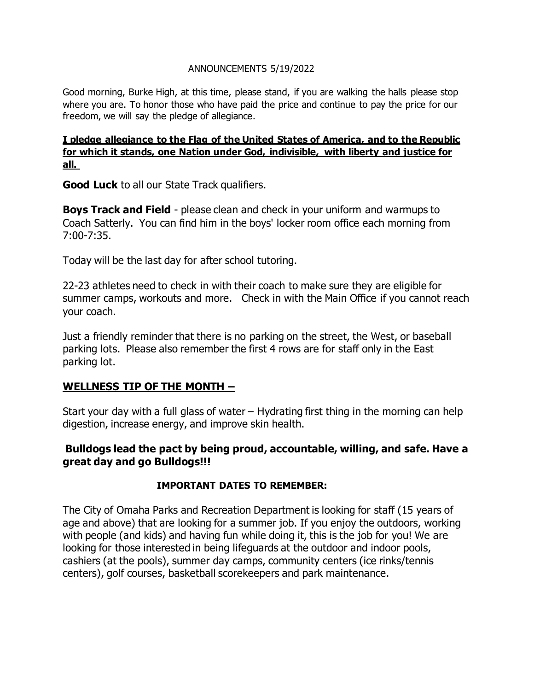#### ANNOUNCEMENTS 5/19/2022

Good morning, Burke High, at this time, please stand, if you are walking the halls please stop where you are. To honor those who have paid the price and continue to pay the price for our freedom, we will say the pledge of allegiance.

#### **I pledge allegiance to the Flag of the United States of America, and to the Republic for which it stands, one Nation under God, indivisible, with liberty and justice for all.**

**Good Luck** to all our State Track qualifiers.

**Boys Track and Field** - please clean and check in your uniform and warmups to Coach Satterly. You can find him in the boys' locker room office each morning from 7:00-7:35.

Today will be the last day for after school tutoring.

22-23 athletes need to check in with their coach to make sure they are eligible for summer camps, workouts and more. Check in with the Main Office if you cannot reach your coach.

Just a friendly reminder that there is no parking on the street, the West, or baseball parking lots. Please also remember the first 4 rows are for staff only in the East parking lot.

## **WELLNESS TIP OF THE MONTH –**

Start your day with a full glass of water – Hydrating first thing in the morning can help digestion, increase energy, and improve skin health.

## **Bulldogs lead the pact by being proud, accountable, willing, and safe. Have a great day and go Bulldogs!!!**

#### **IMPORTANT DATES TO REMEMBER:**

The City of Omaha Parks and Recreation Department is looking for staff (15 years of age and above) that are looking for a summer job. If you enjoy the outdoors, working with people (and kids) and having fun while doing it, this is the job for you! We are looking for those interested in being lifeguards at the outdoor and indoor pools, cashiers (at the pools), summer day camps, community centers (ice rinks/tennis centers), golf courses, basketball scorekeepers and park maintenance.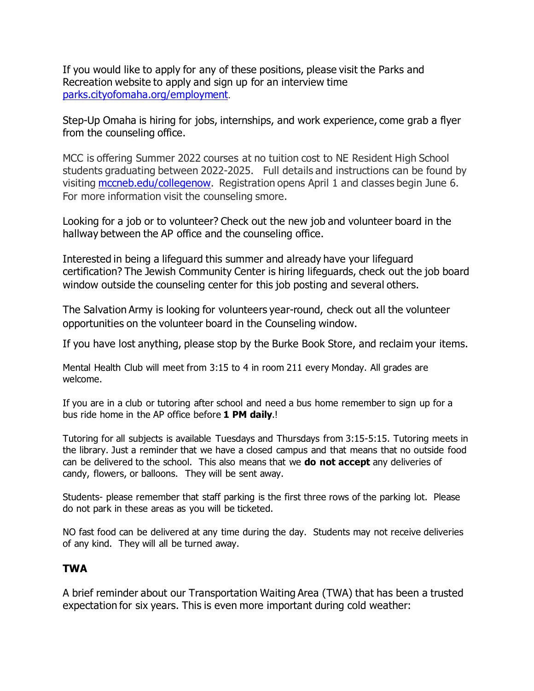If you would like to apply for any of these positions, please visit the Parks and Recreation website to apply and sign up for an interview time [parks.cityofomaha.org/employment](https://nam10.safelinks.protection.outlook.com/?url=http%3A%2F%2Fparks.cityofomaha.org%2Femployment&data=05%7C01%7CNyla.Bodfield%40ops.org%7Ccaf53813f0b14a108d5308da31d91b6c%7C58e66db6211b4a37b7e80ef6967420c1%7C0%7C0%7C637877106185318420%7CUnknown%7CTWFpbGZsb3d8eyJWIjoiMC4wLjAwMDAiLCJQIjoiV2luMzIiLCJBTiI6Ik1haWwiLCJXVCI6Mn0%3D%7C3000%7C%7C%7C&sdata=mqmUUlr45BAPQmkOHPn1I01t8z83297hBnxO8WGs954%3D&reserved=0).

Step-Up Omaha is hiring for jobs, internships, and work experience, come grab a flyer from the counseling office.

MCC is offering Summer 2022 courses at no tuition cost to NE Resident High School students graduating between 2022-2025. Full details and instructions can be found by visiting [mccneb.edu/collegenow.](https://nam10.safelinks.protection.outlook.com/?url=https%3A%2F%2Fwww.mccneb.edu%2FProspective-Students%2FEnrollment%2FSecondary-Partnerships%2FCollege-Now&data=04%7C01%7CNyla.Bodfield%40ops.org%7C139df0075907412271bd08da11b1b255%7C58e66db6211b4a37b7e80ef6967420c1%7C0%7C0%7C637841752138412853%7CUnknown%7CTWFpbGZsb3d8eyJWIjoiMC4wLjAwMDAiLCJQIjoiV2luMzIiLCJBTiI6Ik1haWwiLCJXVCI6Mn0%3D%7C3000&sdata=GE0UcODblxSL1Pltk67dRRmQEW7hhXDfzwAVcaGcdYg%3D&reserved=0) Registration opens April 1 and classes begin June 6. For more information visit the counseling smore.

Looking for a job or to volunteer? Check out the new job and volunteer board in the hallway between the AP office and the counseling office.

Interested in being a lifeguard this summer and already have your lifeguard certification? The Jewish Community Center is hiring lifeguards, check out the job board window outside the counseling center for this job posting and several others.

The Salvation Army is looking for volunteers year-round, check out all the volunteer opportunities on the volunteer board in the Counseling window.

If you have lost anything, please stop by the Burke Book Store, and reclaim your items.

Mental Health Club will meet from 3:15 to 4 in room 211 every Monday. All grades are welcome.

If you are in a club or tutoring after school and need a bus home remember to sign up for a bus ride home in the AP office before **1 PM daily**.!

Tutoring for all subjects is available Tuesdays and Thursdays from 3:15-5:15. Tutoring meets in the library. Just a reminder that we have a closed campus and that means that no outside food can be delivered to the school. This also means that we **do not accept** any deliveries of candy, flowers, or balloons. They will be sent away.

Students- please remember that staff parking is the first three rows of the parking lot. Please do not park in these areas as you will be ticketed.

NO fast food can be delivered at any time during the day. Students may not receive deliveries of any kind. They will all be turned away.

## **TWA**

A brief reminder about our Transportation Waiting Area (TWA) that has been a trusted expectation for six years. This is even more important during cold weather: